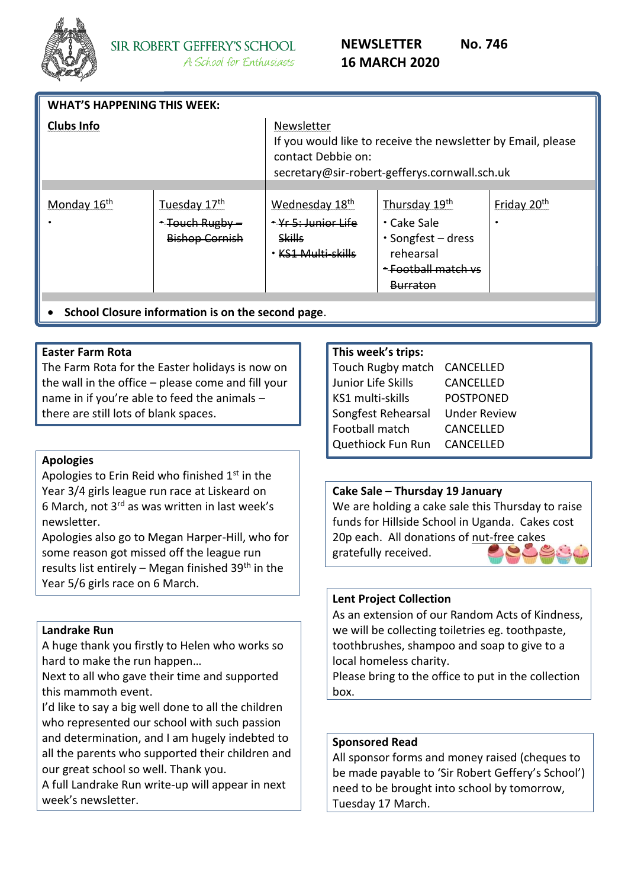

| <b>WHAT'S HAPPENING THIS WEEK:</b> |                                                          |                                                                                                                                                   |                                                                                                                           |                              |  |
|------------------------------------|----------------------------------------------------------|---------------------------------------------------------------------------------------------------------------------------------------------------|---------------------------------------------------------------------------------------------------------------------------|------------------------------|--|
| <b>Clubs Info</b>                  |                                                          | Newsletter<br>If you would like to receive the newsletter by Email, please<br>contact Debbie on:<br>secretary@sir-robert-gefferys.cornwall.sch.uk |                                                                                                                           |                              |  |
|                                    |                                                          |                                                                                                                                                   |                                                                                                                           |                              |  |
| Monday 16 <sup>th</sup>            | Tuesday 17th<br>* Touch Rugby -<br><b>Bishop Cornish</b> | Wednesday 18th<br>* Yr 5: Junior Life<br><b>Skills</b><br>KS1 Multi-skills                                                                        | Thursday 19th<br>$\cdot$ Cake Sale<br>$\cdot$ Songfest – dress<br>rehearsal<br><del>* Football match vs</del><br>Burraton | Friday 20 <sup>th</sup><br>٠ |  |
| .                                  | .                                                        |                                                                                                                                                   |                                                                                                                           |                              |  |

• **School Closure information is on the second page**.

## **Easter Farm Rota**

The Farm Rota for the Easter holidays is now on the wall in the office – please come and fill your name in if you're able to feed the animals – there are still lots of blank spaces.

## **Apologies**

Apologies to Erin Reid who finished  $1<sup>st</sup>$  in the Year 3/4 girls league run race at Liskeard on 6 March, not 3rd as was written in last week's newsletter.

Apologies also go to Megan Harper-Hill, who for some reason got missed off the league run results list entirely – Megan finished  $39<sup>th</sup>$  in the Year 5/6 girls race on 6 March.

## **Landrake Run**

A huge thank you firstly to Helen who works so hard to make the run happen…

Next to all who gave their time and supported this mammoth event.

I'd like to say a big well done to all the children who represented our school with such passion and determination, and I am hugely indebted to all the parents who supported their children and our great school so well. Thank you.

A full Landrake Run write-up will appear in next week's newsletter.

#### **This week's trips:**

| <b>Touch Rugby match</b> | CANCELLED           |  |
|--------------------------|---------------------|--|
| Junior Life Skills       | <b>CANCELLED</b>    |  |
| KS1 multi-skills         | <b>POSTPONED</b>    |  |
| Songfest Rehearsal       | <b>Under Review</b> |  |
| Football match           | <b>CANCELLED</b>    |  |
| Quethiock Fun Run        | <b>CANCELLED</b>    |  |
|                          |                     |  |

## **Cake Sale – Thursday 19 January**

We are holding a cake sale this Thursday to raise funds for Hillside School in Uganda. Cakes cost 20p each. All donations of nut-free cakes gratefully received.

## **Lent Project Collection**

As an extension of our Random Acts of Kindness, we will be collecting toiletries eg. toothpaste, toothbrushes, shampoo and soap to give to a local homeless charity.

Please bring to the office to put in the collection box.

#### **Sponsored Read**

All sponsor forms and money raised (cheques to be made payable to 'Sir Robert Geffery's School') need to be brought into school by tomorrow, Tuesday 17 March.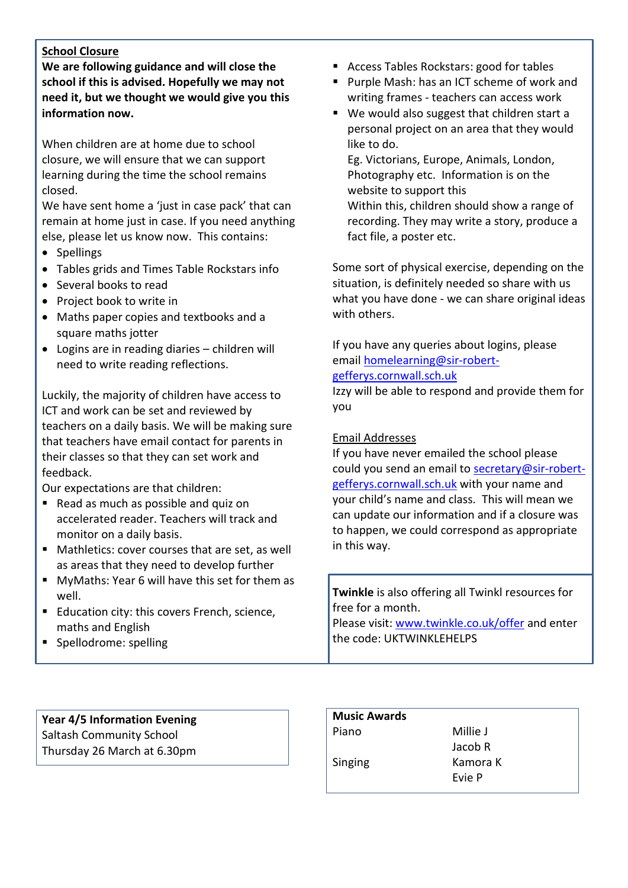# **School Closure**

**We are following guidance and will close the school if this is advised. Hopefully we may not need it, but we thought we would give you this information now.**

When children are at home due to school closure, we will ensure that we can support learning during the time the school remains closed.

We have sent home a 'just in case pack' that can remain at home just in case. If you need anything else, please let us know now. This contains:

- Spellings
- Tables grids and Times Table Rockstars info
- Several books to read
- Project book to write in
- Maths paper copies and textbooks and a square maths jotter
- Logins are in reading diaries children will need to write reading reflections.

Luckily, the majority of children have access to ICT and work can be set and reviewed by teachers on a daily basis. We will be making sure that teachers have email contact for parents in their classes so that they can set work and feedback.

Our expectations are that children:

- Read as much as possible and quiz on accelerated reader. Teachers will track and monitor on a daily basis.
- Mathletics: cover courses that are set, as well as areas that they need to develop further
- MyMaths: Year 6 will have this set for them as well.
- Education city: this covers French, science, maths and English
- Spellodrome: spelling
- Access Tables Rockstars: good for tables
- Purple Mash: has an ICT scheme of work and writing frames - teachers can access work
- We would also suggest that children start a personal project on an area that they would like to do.

Eg. Victorians, Europe, Animals, London, Photography etc. Information is on the website to support this Within this, children should show a range of recording. They may write a story, produce a fact file, a poster etc.

Some sort of physical exercise, depending on the situation, is definitely needed so share with us what you have done - we can share original ideas with others.

If you have any queries about logins, please email [homelearning@sir-robert-](mailto:homelearning@sir-robert-gefferys.cornwall.sch.uk)

## [gefferys.cornwall.sch.uk](mailto:homelearning@sir-robert-gefferys.cornwall.sch.uk)

Izzy will be able to respond and provide them for you

## Email Addresses

If you have never emailed the school please could you send an email to [secretary@sir-robert](mailto:secretary@sir-robert-gefferys.cornwall.sch.uk)[gefferys.cornwall.sch.uk](mailto:secretary@sir-robert-gefferys.cornwall.sch.uk) with your name and your child's name and class. This will mean we can update our information and if a closure was to happen, we could correspond as appropriate in this way.

**Twinkle** is also offering all Twinkl resources for free for a month.

Please visit: [www.twinkle.co.uk/offer](http://www.twinkle.co.uk/offer) and enter the code: UKTWINKLEHELPS

## **Year 4/5 Information Evening** Saltash Community School

Thursday 26 March at 6.30pm

| <b>Music Awards</b> |          |
|---------------------|----------|
| Piano               | Millie J |
|                     | Jacob R  |
| Singing             | Kamora K |
|                     | Evie P   |
|                     |          |